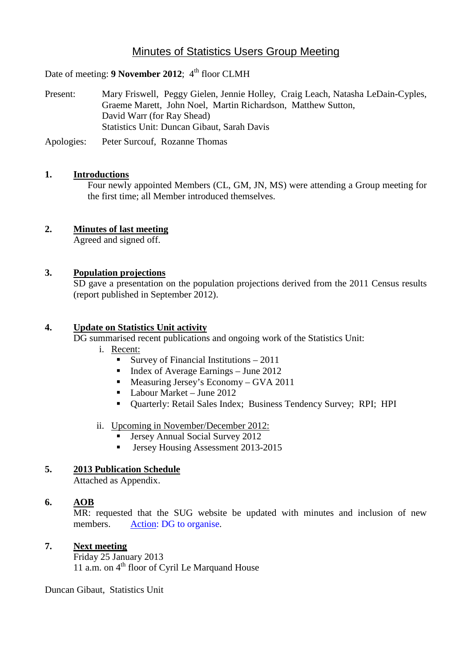# Minutes of Statistics Users Group Meeting

Date of meeting: 9 November 2012; 4<sup>th</sup> floor CLMH

Present: Mary Friswell, Peggy Gielen, Jennie Holley, Craig Leach, Natasha LeDain-Cyples, Graeme Marett, John Noel, Martin Richardson, Matthew Sutton, David Warr (for Ray Shead) Statistics Unit: Duncan Gibaut, Sarah Davis

Apologies: Peter Surcouf, Rozanne Thomas

#### **1. Introductions**

Four newly appointed Members (CL, GM, JN, MS) were attending a Group meeting for the first time; all Member introduced themselves.

# **2. Minutes of last meeting**

Agreed and signed off.

### **3. Population projections**

SD gave a presentation on the population projections derived from the 2011 Census results (report published in September 2012).

#### **4. Update on Statistics Unit activity**

DG summarised recent publications and ongoing work of the Statistics Unit:

- i. Recent:
	- Survey of Financial Institutions 2011
	- Index of Average Earnings June 2012<br>■ Measuring Jersey's Economy GVA 20
	- Measuring Jersey's Economy GVA 2011
	- Labour Market June 2012
	- Quarterly: Retail Sales Index; Business Tendency Survey; RPI; HPI
- ii. Upcoming in November/December 2012:
	- Jersey Annual Social Survey 2012
	- **Jersey Housing Assessment 2013-2015**

#### **5. 2013 Publication Schedule**

Attached as Appendix.

## **6. AOB**

MR: requested that the SUG website be updated with minutes and inclusion of new members. Action: DG to organise.

#### **7. Next meeting**

Friday 25 January 2013 11 a.m. on  $4<sup>th</sup>$  floor of Cyril Le Marquand House

Duncan Gibaut, Statistics Unit